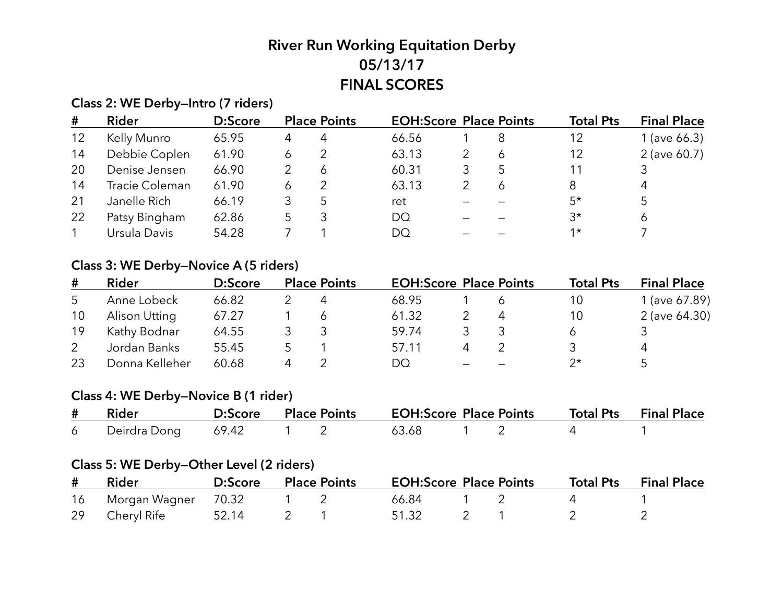# **River Run Working Equitation Derby 05/13/17 FINAL SCORES**

# **Class 2: WE Derby—Intro (7 riders)**

| #  | Rider          | D:Score |   | <b>Place Points</b> | <b>EOH:Score Place Points</b> |   | <b>Total Pts</b> | <b>Final Place</b> |
|----|----------------|---------|---|---------------------|-------------------------------|---|------------------|--------------------|
| 12 | Kelly Munro    | 65.95   | 4 |                     | 66.56                         | 8 | 12               | 1 (ave $66.3$ )    |
| 14 | Debbie Coplen  | 61.90   | Ô |                     | 63.13                         | 6 | 12               | 2 (ave 60.7)       |
| 20 | Denise Jensen  | 66.90   |   |                     | 60.31                         |   | 11               |                    |
| 14 | Tracie Coleman | 61.90   |   |                     | 63.13                         | Ó | 8                |                    |
| 21 | Janelle Rich   | 66.19   |   |                     | ret                           |   | $5*$             |                    |
| 22 | Patsy Bingham  | 62.86   |   |                     | <b>DQ</b>                     |   | $3^{\star}$      |                    |
|    | Ursula Davis   | 54.28   |   |                     | DO                            |   | $1*$             |                    |

# **Class 3: WE Derby—Novice A (5 riders)**

| #  | Rider          | D:Score | <b>Place Points</b> | <b>EOH:Score Place Points</b> |   | <b>Total Pts</b> | <b>Final Place</b> |
|----|----------------|---------|---------------------|-------------------------------|---|------------------|--------------------|
| 5  | Anne Lobeck    | 66.82   |                     | 68.95                         |   | 10               | 1 (ave 67.89)      |
| 10 | Alison Utting  | 67.27   |                     | 61.32                         | 4 | 10               | 2 (ave 64.30)      |
| 19 | Kathy Bodnar   | 64.55   |                     | 59.74                         |   |                  |                    |
|    | Jordan Banks   | 55.45   |                     | 57.11                         |   |                  | 4                  |
| 23 | Donna Kelleher | 60.68   |                     | DQ                            |   |                  |                    |

# **Class 4: WE Derby—Novice B (1 rider)**

| # Rider                                |  |  |  | D:Score Place Points EOH:Score Place Points Total Pts Final Place |  |
|----------------------------------------|--|--|--|-------------------------------------------------------------------|--|
| 6 Deirdra Dong 69.42 1 2 63.68 1 2 4 1 |  |  |  |                                                                   |  |

# **Class 5: WE Derby—Other Level (2 riders)**

| # Rider                | D:Score | <b>Place Points</b> | <b>EOH:Score Place Points</b> |  | <b>Total Pts</b> Final Place |
|------------------------|---------|---------------------|-------------------------------|--|------------------------------|
| 16 Morgan Wagner 70.32 |         |                     | 66.84                         |  |                              |
| 29 Cheryl Rife 52.14   |         |                     | 51.32                         |  |                              |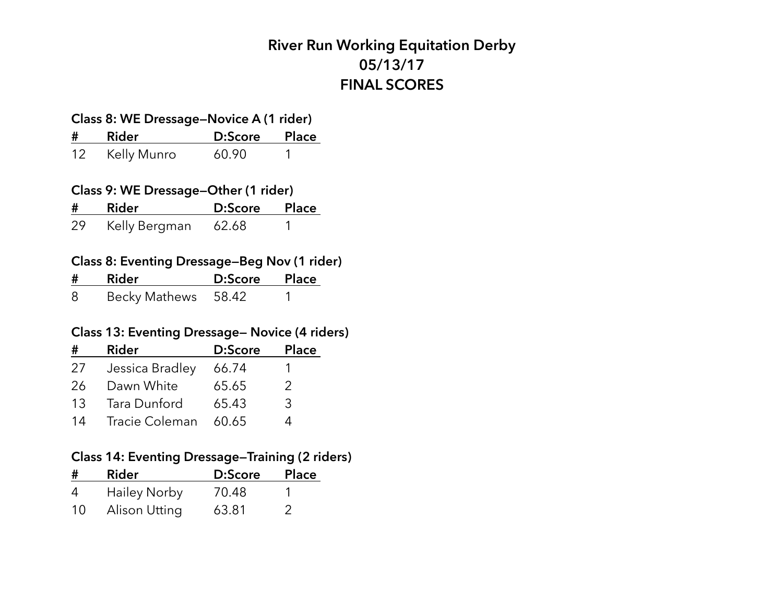# **River Run Working Equitation Derby 05/13/17 FINAL SCORES**

# **Class 8: WE Dressage—Novice A (1 rider)**

| #                 | <b>Rider</b> | D:Score | <b>Place</b> |
|-------------------|--------------|---------|--------------|
| $12 \overline{ }$ | Kelly Munro  | 60.90   |              |

#### **Class 9: WE Dressage—Other (1 rider)**

| #  | Rider         | D:Score Place |  |
|----|---------------|---------------|--|
| 29 | Kelly Bergman | 62.68         |  |

#### **Class 8: Eventing Dressage—Beg Nov (1 rider)**

| #  | Rider               | D:Score | <b>Place</b> |
|----|---------------------|---------|--------------|
| -8 | Becky Mathews 58.42 |         |              |

#### **Class 13: Eventing Dressage— Novice (4 riders)**

| #  | <b>Rider</b>    | D:Score | <b>Place</b>  |
|----|-----------------|---------|---------------|
| 27 | Jessica Bradley | 66.74   |               |
| 26 | Dawn White      | 65.65   | $\mathcal{P}$ |
| 13 | Tara Dunford    | 65.43   | 3             |
| 14 | Tracie Coleman  | 60.65   | Λ             |

# **Class 14: Eventing Dressage—Training (2 riders)**

| #  | <b>Rider</b>        | D:Score | <b>Place</b> |
|----|---------------------|---------|--------------|
| 4  | <b>Hailey Norby</b> | 70.48   |              |
| 10 | Alison Utting       | 63.81   |              |